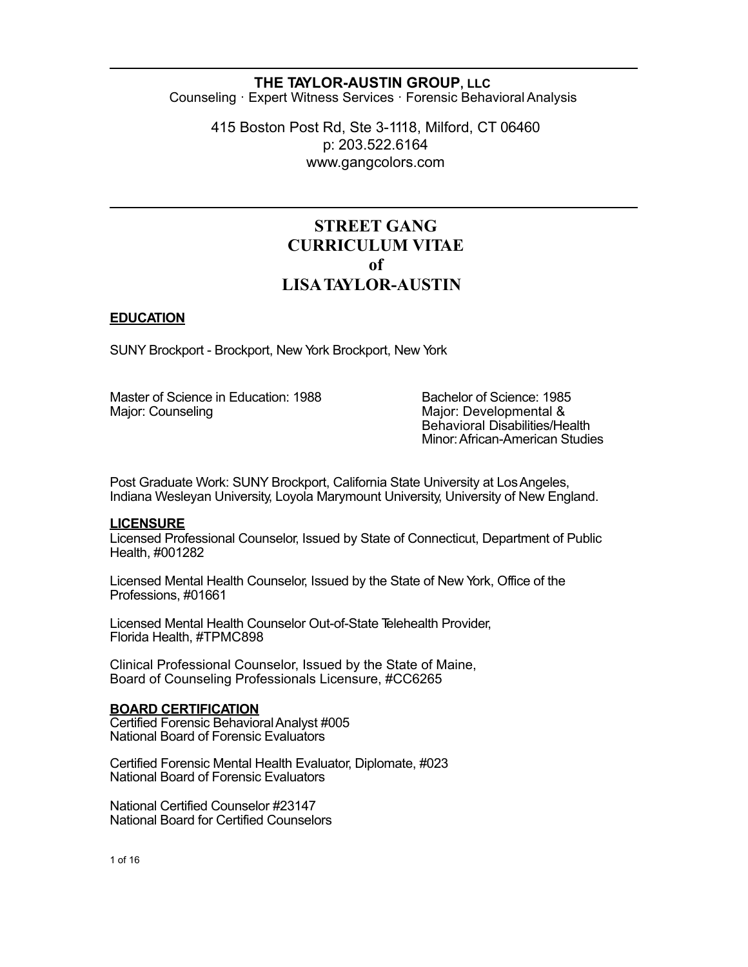## **THE TAYLOR-AUSTIN GROUP, LLC**

Counseling · Expert Witness Services · Forensic Behavioral Analysis

415 Boston Post Rd, Ste 3-1118, Milford, CT 06460 p: 203.522.6164 www.gangcolors.com

# **STREET GANG CURRICULUM VITAE of LISATAYLOR-AUSTIN**

### **EDUCATION**

SUNY Brockport - Brockport, New York Brockport, New York

Master of Science in Education: 1988 Major: Counseling

Bachelor of Science: 1985 Major: Developmental & Behavioral Disabilities/Health Minor:African-American Studies

Post Graduate Work: SUNY Brockport, California State University at Los Angeles, Indiana Wesleyan University, Loyola Marymount University, University of New England.

### **LICENSURE**

Licensed Professional Counselor, Issued by State of Connecticut, Department of Public Health, #001282

Licensed Mental Health Counselor, Issued by the State of New York, Office of the Professions, #01661

Licensed Mental Health Counselor Out-of-State Telehealth Provider, Florida Health, #TPMC898

Clinical Professional Counselor, Issued by the State of Maine, Board of Counseling Professionals Licensure, #CC6265

### **BOARD CERTIFICATION**

Certified Forensic BehavioralAnalyst #005 National Board of Forensic Evaluators

Certified Forensic Mental Health Evaluator, Diplomate, #023 National Board of Forensic Evaluators

National Certified Counselor #23147 National Board for Certified Counselors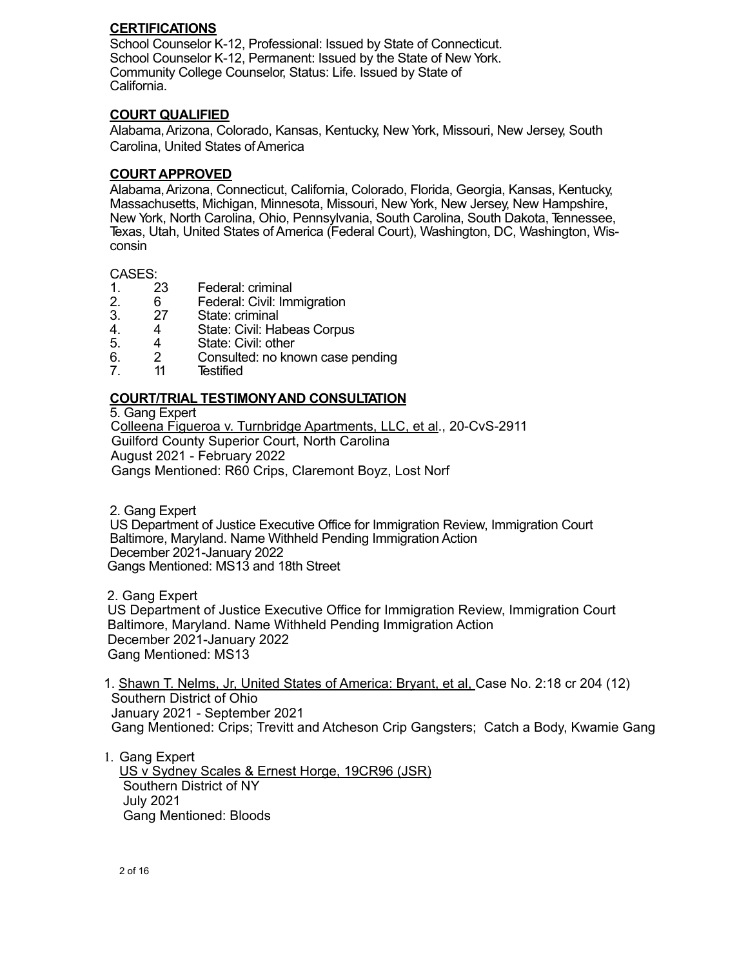### **CERTIFICATIONS**

School Counselor K-12, Professional: Issued by State of Connecticut. School Counselor K-12, Permanent: Issued by the State of New York. Community College Counselor, Status: Life. Issued by State of California.

### **COURT QUALIFIED**

Alabama,Arizona, Colorado, Kansas, Kentucky, New York, Missouri, New Jersey, South Carolina, United States ofAmerica

### **COURT APPROVED**

Alabama,Arizona, Connecticut, California, Colorado, Florida, Georgia, Kansas, Kentucky, Massachusetts, Michigan, Minnesota, Missouri, New York, New Jersey, New Hampshire, New York, North Carolina, Ohio, Pennsylvania, South Carolina, South Dakota, Tennessee, Texas, Utah, United States of America (Federal Court), Washington, DC, Washington, Wisconsin

### CASES:

- 1. 23 Federal: criminal<br>2. 6 Federal: Civil: Im
- 2. 6 Federal: Civil: Immigration<br>3. 27 State: criminal
- 3. 27 State: criminal<br>4. 4 State: Civil: Ha
- 4. 4 State: Civil: Habeas Corpus<br>5. 4 State: Civil: other
- 4 State: Civil: other<br>2 Consulted: no kno
- 6. 2 Consulted: no known case pending
- 7. 11 Testified

### **COURT/TRIAL TESTIMONYAND CONSULTATION**

5. Gang Expert

 Colleena Figueroa v. Turnbridge Apartments, LLC, et al., 20-CvS-2911 Guilford County Superior Court, North Carolina August 2021 - February 2022 Gangs Mentioned: R60 Crips, Claremont Boyz, Lost Norf

2. Gang Expert

US Department of Justice Executive Office for Immigration Review, Immigration Court Baltimore, Maryland. Name Withheld Pending Immigration Action December 2021-January 2022 Gangs Mentioned: MS13 and 18th Street

2. Gang Expert

 US Department of Justice Executive Office for Immigration Review, Immigration Court Baltimore, Maryland. Name Withheld Pending Immigration Action December 2021-January 2022 Gang Mentioned: MS13

1. Shawn T. Nelms, Jr, United States of America: Bryant, et al, Case No. 2:18 cr 204 (12) Southern District of Ohio January 2021 - September 2021 Gang Mentioned: Crips; Trevitt and Atcheson Crip Gangsters; Catch a Body, Kwamie Gang

1. Gang Expert US v Sydney Scales & Ernest Horge, 19CR96 (JSR) Southern District of NY July 2021 Gang Mentioned: Bloods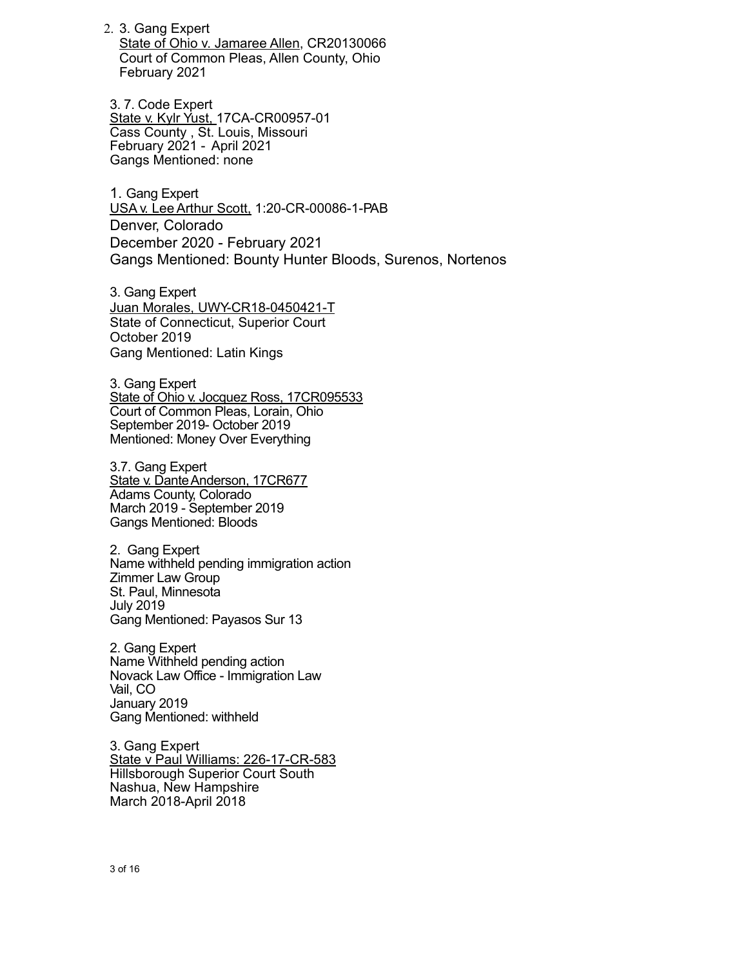2. 3. Gang Expert State of Ohio v. Jamaree Allen, CR20130066 Court of Common Pleas, Allen County, Ohio February 2021

3. 7. Code Expert State v. Kylr Yust, 17CA-CR00957-01 Cass County , St. Louis, Missouri February 2021 - April 2021 Gangs Mentioned: none

1. Gang Expert USA v. Lee Arthur Scott, 1:20-CR-00086-1-PAB Denver, Colorado December 2020 - February 2021 Gangs Mentioned: Bounty Hunter Bloods, Surenos, Nortenos

3. Gang Expert Juan Morales, UWY-CR18-0450421-T State of Connecticut, Superior Court October 2019 Gang Mentioned: Latin Kings

3. Gang Expert State of Ohio v. Jocquez Ross, 17CR095533 Court of Common Pleas, Lorain, Ohio September 2019- October 2019 Mentioned: Money Over Everything

3.7. Gang Expert State v. Dante Anderson, 17CR677 Adams County, Colorado March 2019 - September 2019 Gangs Mentioned: Bloods

2. Gang Expert Name withheld pending immigration action Zimmer Law Group St. Paul, Minnesota July 2019 Gang Mentioned: Payasos Sur 13

2. Gang Expert Name Withheld pending action Novack Law Office - Immigration Law Vail, CO January 2019 Gang Mentioned: withheld

3. Gang Expert State v Paul Williams: 226-17-CR-583 Hillsborough Superior Court South Nashua, New Hampshire March 2018-April 2018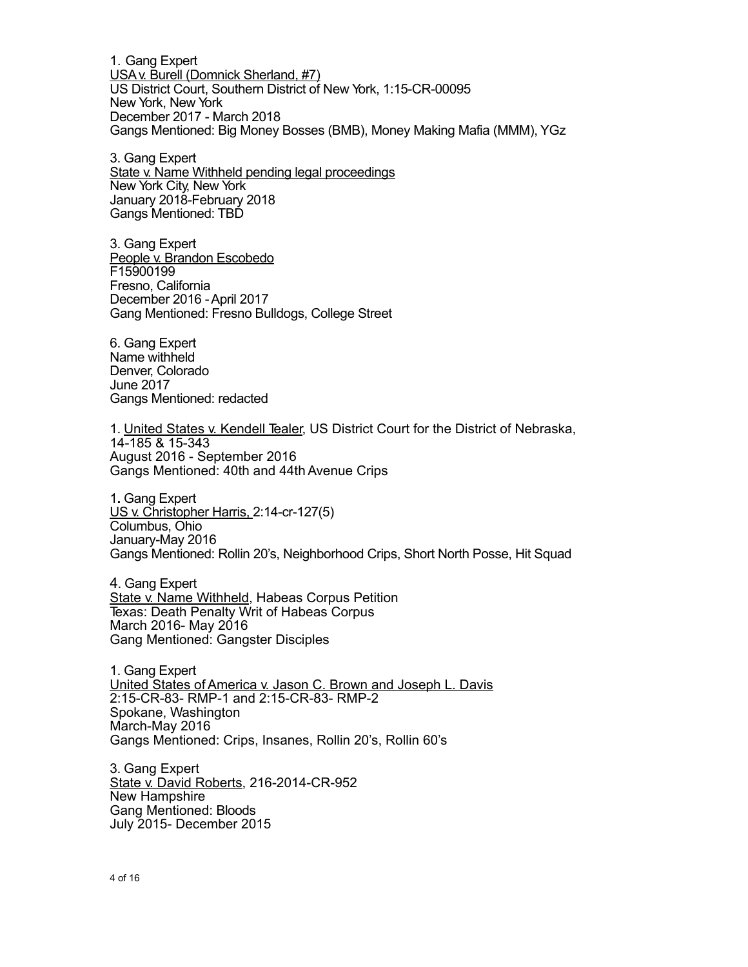1. Gang Expert USA v. Burell (Domnick Sherland, #7) US District Court, Southern District of New York, 1:15-CR-00095 New York, New York December 2017 - March 2018 Gangs Mentioned: Big Money Bosses (BMB), Money Making Mafia (MMM), YGz

3. Gang Expert State v. Name Withheld pending legal proceedings New York City, New York January 2018-February 2018 Gangs Mentioned: TBD

3. Gang Expert People v. Brandon Escobedo F15900199 Fresno, California December 2016 -April 2017 Gang Mentioned: Fresno Bulldogs, College Street

6. Gang Expert Name withheld Denver, Colorado June 2017 Gangs Mentioned: redacted

1. United States v. Kendell Tealer, US District Court for the District of Nebraska, 14-185 & 15-343 August 2016 - September 2016 Gangs Mentioned: 40th and 44th Avenue Crips

1**.** Gang Expert US v. Christopher Harris, 2:14-cr-127(5) Columbus, Ohio January-May 2016 Gangs Mentioned: Rollin 20's, Neighborhood Crips, Short North Posse, Hit Squad

4. Gang Expert State v. Name Withheld, Habeas Corpus Petition Texas: Death Penalty Writ of Habeas Corpus March 2016- May 2016 Gang Mentioned: Gangster Disciples

1. Gang Expert United States of America v. Jason C. Brown and Joseph L. Davis 2:15-CR-83- RMP-1 and 2:15-CR-83- RMP-2 Spokane, Washington March-May 2016 Gangs Mentioned: Crips, Insanes, Rollin 20's, Rollin 60's

3. Gang Expert State v. David Roberts, 216-2014-CR-952 New Hampshire Gang Mentioned: Bloods July 2015- December 2015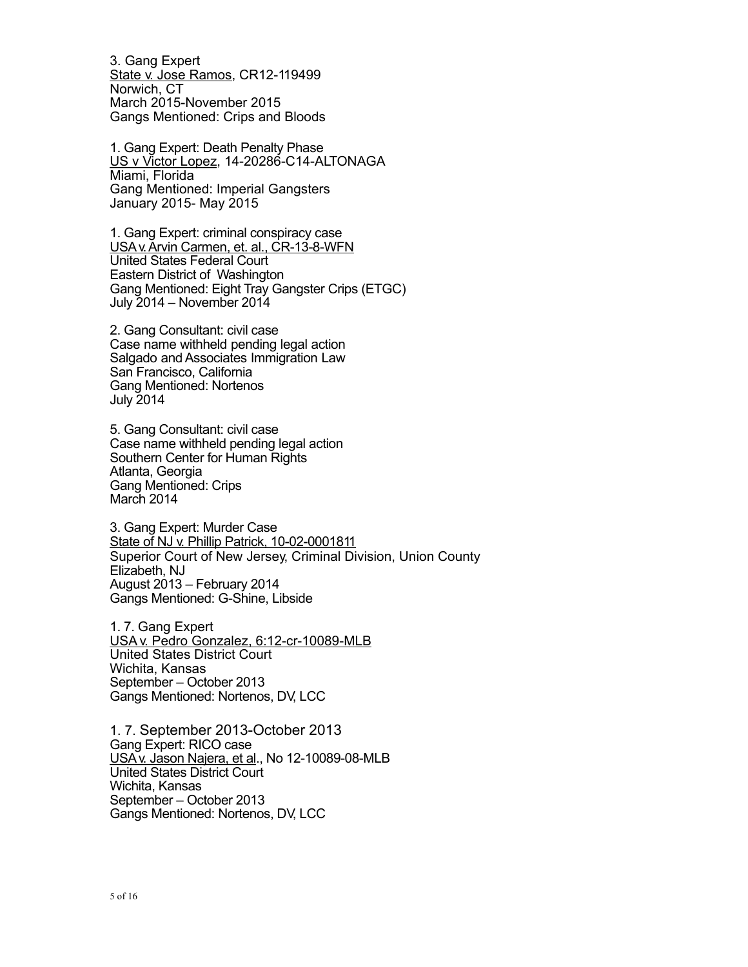3. Gang Expert State v. Jose Ramos, CR12-119499 Norwich, CT March 2015-November 2015 Gangs Mentioned: Crips and Bloods

1. Gang Expert: Death Penalty Phase US v Victor Lopez, 14-20286-C14-ALTONAGA Miami, Florida Gang Mentioned: Imperial Gangsters January 2015- May 2015

1. Gang Expert: criminal conspiracy case USA v.Arvin Carmen, et. al., CR-13-8-WFN United States Federal Court Eastern District of Washington Gang Mentioned: Eight Tray Gangster Crips (ETGC) July 2014 – November 2014

2. Gang Consultant: civil case Case name withheld pending legal action Salgado and Associates Immigration Law San Francisco, California Gang Mentioned: Nortenos July 2014

5. Gang Consultant: civil case Case name withheld pending legal action Southern Center for Human Rights Atlanta, Georgia Gang Mentioned: Crips March 2014

3. Gang Expert: Murder Case State of NJ v. Phillip Patrick, 10-02-0001811 Superior Court of New Jersey, Criminal Division, Union County Elizabeth, NJ August 2013 – February 2014 Gangs Mentioned: G-Shine, Libside

1. 7. Gang Expert USA v. Pedro Gonzalez, 6:12-cr-10089-MLB United States District Court Wichita, Kansas September – October 2013 Gangs Mentioned: Nortenos, DV, LCC

1. 7. September 2013-October 2013 Gang Expert: RICO case USA v. Jason Najera, et al., No 12-10089-08-MLB United States District Court Wichita, Kansas September – October 2013 Gangs Mentioned: Nortenos, DV, LCC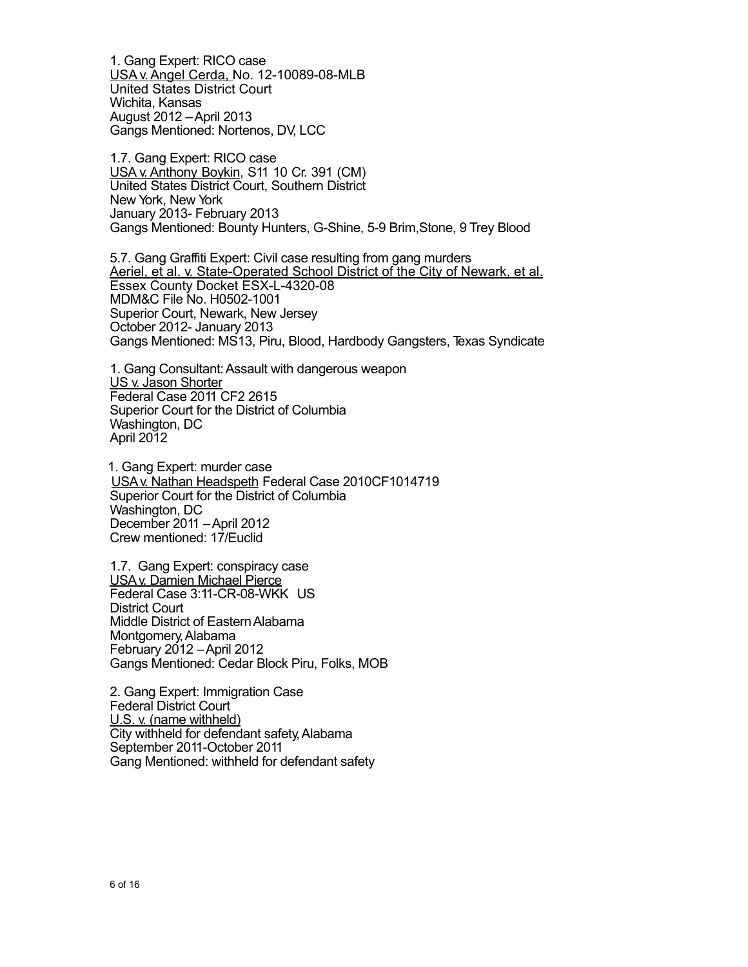1. Gang Expert: RICO case USA v. Angel Cerda, No. 12-10089-08-MLB United States District Court Wichita, Kansas August 2012 –April 2013 Gangs Mentioned: Nortenos, DV, LCC

1.7. Gang Expert: RICO case USA v. Anthony Boykin, S11 10 Cr. 391 (CM) United States District Court, Southern District New York, New York January 2013- February 2013 Gangs Mentioned: Bounty Hunters, G-Shine, 5-9 Brim,Stone, 9 Trey Blood

5.7. Gang Graffiti Expert: Civil case resulting from gang murders Aeriel, et al. v. State-Operated School District of the City of Newark, et al. Essex County Docket ESX-L-4320-08 MDM&C File No. H0502-1001 Superior Court, Newark, New Jersey October 2012- January 2013 Gangs Mentioned: MS13, Piru, Blood, Hardbody Gangsters, Texas Syndicate

1. Gang Consultant:Assault with dangerous weapon US v. Jason Shorter Federal Case 2011 CF2 2615 Superior Court for the District of Columbia Washington, DC April 2012

1. Gang Expert: murder case USA v. Nathan Headspeth Federal Case 2010CF1014719 Superior Court for the District of Columbia Washington, DC December 2011 –April 2012 Crew mentioned: 17/Euclid

1.7. Gang Expert: conspiracy case USA v. Damien Michael Pierce Federal Case 3:11-CR-08-WKK US District Court Middle District of EasternAlabama Montgomery,Alabama February 2012 –April 2012 Gangs Mentioned: Cedar Block Piru, Folks, MOB

2. Gang Expert: Immigration Case Federal District Court U.S. v. (name withheld) City withheld for defendant safety, Alabama September 2011-October 2011 Gang Mentioned: withheld for defendant safety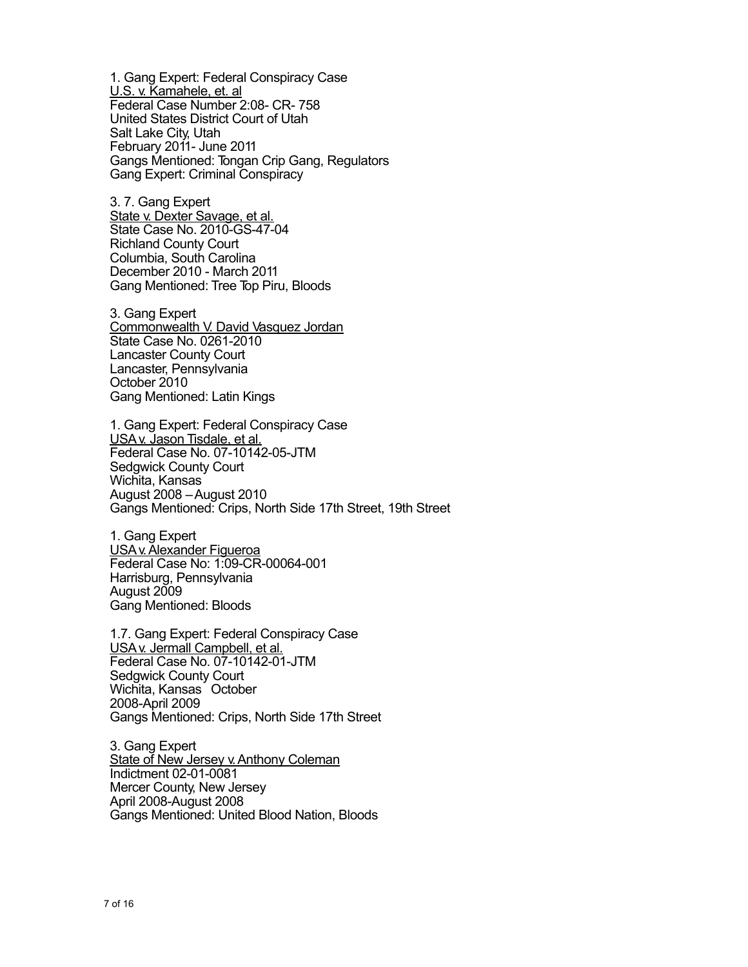1. Gang Expert: Federal Conspiracy Case U.S. v. Kamahele, et. al Federal Case Number 2:08- CR- 758 United States District Court of Utah Salt Lake City, Utah February 2011- June 2011 Gangs Mentioned: Tongan Crip Gang, Regulators Gang Expert: Criminal Conspiracy

3. 7. Gang Expert State v. Dexter Savage, et al. State Case No. 2010-GS-47-04 Richland County Court Columbia, South Carolina December 2010 - March 2011 Gang Mentioned: Tree Top Piru, Bloods

3. Gang Expert Commonwealth V. David Vasquez Jordan State Case No. 0261-2010 Lancaster County Court Lancaster, Pennsylvania October 2010 Gang Mentioned: Latin Kings

1. Gang Expert: Federal Conspiracy Case USA v. Jason Tisdale, et al. Federal Case No. 07-10142-05-JTM Sedgwick County Court Wichita, Kansas August 2008 –August 2010 Gangs Mentioned: Crips, North Side 17th Street, 19th Street

1. Gang Expert USA v. Alexander Figueroa Federal Case No: 1:09-CR-00064-001 Harrisburg, Pennsylvania August 2009 Gang Mentioned: Bloods

1.7. Gang Expert: Federal Conspiracy Case USA v. Jermall Campbell, et al. Federal Case No. 07-10142-01-JTM Sedgwick County Court Wichita, Kansas October 2008-April 2009 Gangs Mentioned: Crips, North Side 17th Street

3. Gang Expert State of New Jersey v. Anthony Coleman Indictment 02-01-0081 Mercer County, New Jersey April 2008-August 2008 Gangs Mentioned: United Blood Nation, Bloods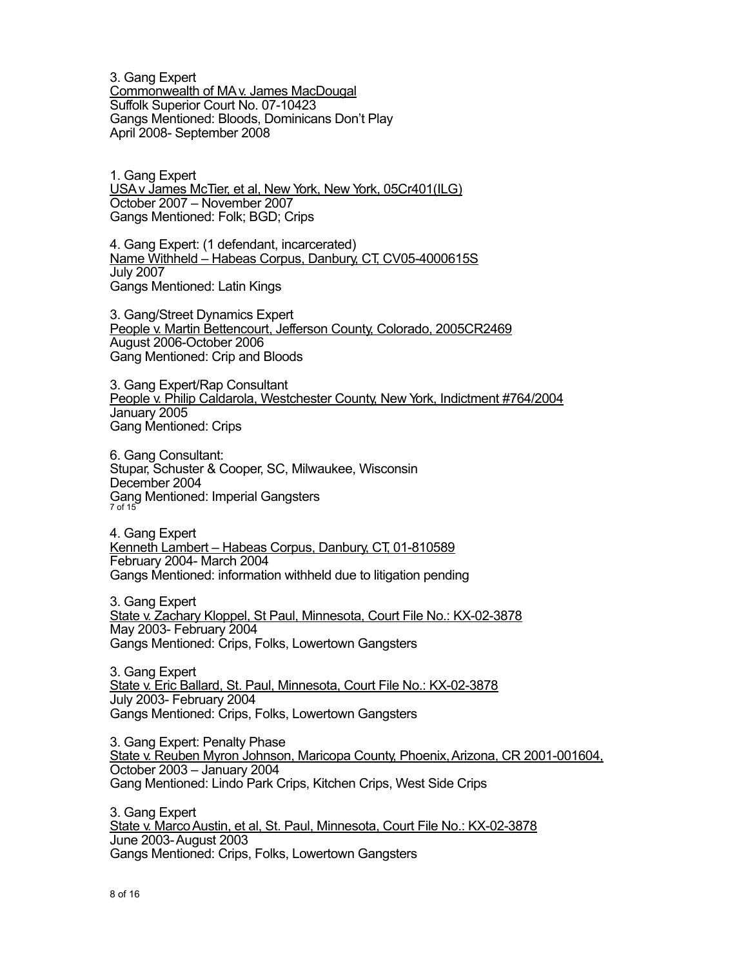3. Gang Expert Commonwealth of MA v. James MacDougal Suffolk Superior Court No. 07-10423 Gangs Mentioned: Bloods, Dominicans Don't Play April 2008- September 2008

1. Gang Expert USAv James McTier, et al, New York, New York, 05Cr401(ILG) October 2007 – November 2007 Gangs Mentioned: Folk; BGD; Crips

4. Gang Expert: (1 defendant, incarcerated) Name Withheld – Habeas Corpus, Danbury, CT, CV05-4000615S July 2007 Gangs Mentioned: Latin Kings

3. Gang/Street Dynamics Expert People v. Martin Bettencourt, Jefferson County, Colorado, 2005CR2469 August 2006-October 2006 Gang Mentioned: Crip and Bloods

3. Gang Expert/Rap Consultant People v. Philip Caldarola, Westchester County, New York, Indictment #764/2004 January 2005 Gang Mentioned: Crips

6. Gang Consultant: Stupar, Schuster & Cooper, SC, Milwaukee, Wisconsin December 2004 Gang Mentioned: Imperial Gangsters<br>7 of 15

4. Gang Expert Kenneth Lambert – Habeas Corpus, Danbury, CT, 01-810589 February 2004- March 2004 Gangs Mentioned: information withheld due to litigation pending

3. Gang Expert State v. Zachary Kloppel, St Paul, Minnesota, Court File No.: KX-02-3878 May 2003- February 2004 Gangs Mentioned: Crips, Folks, Lowertown Gangsters

3. Gang Expert State v. Eric Ballard, St. Paul, Minnesota, Court File No.: KX-02-3878 July 2003- February 2004 Gangs Mentioned: Crips, Folks, Lowertown Gangsters

3. Gang Expert: Penalty Phase State v. Reuben Myron Johnson, Maricopa County, Phoenix, Arizona, CR 2001-001604, October 2003 – January 2004 Gang Mentioned: Lindo Park Crips, Kitchen Crips, West Side Crips

3. Gang Expert State v. Marco Austin, et al, St. Paul, Minnesota, Court File No.: KX-02-3878 June 2003-August 2003 Gangs Mentioned: Crips, Folks, Lowertown Gangsters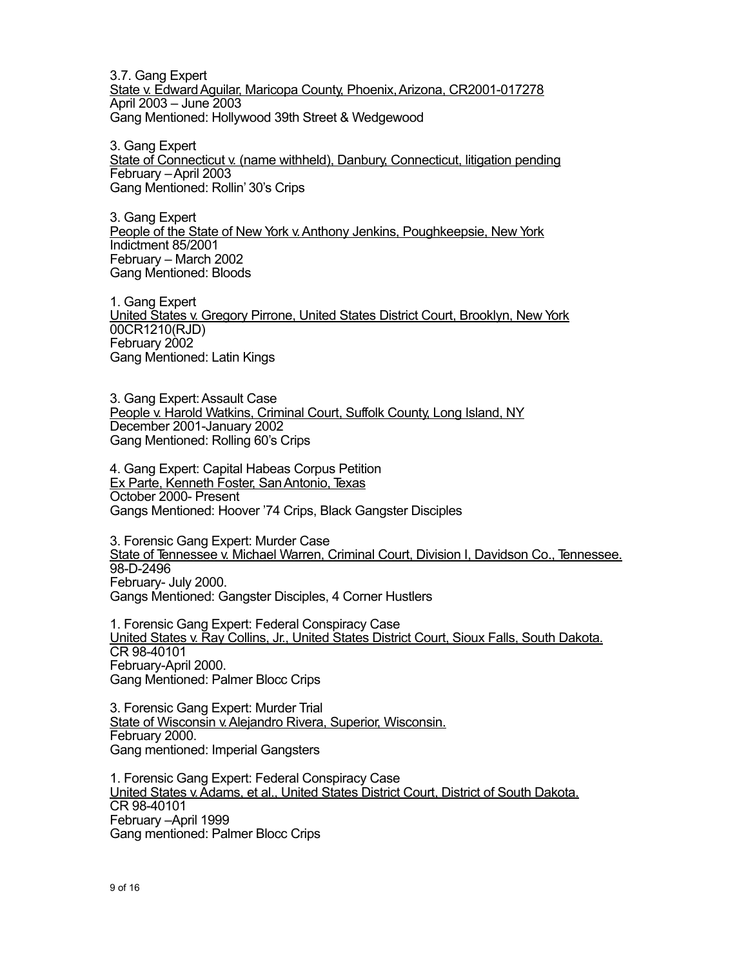3.7. Gang Expert State v. Edward Aguilar, Maricopa County, Phoenix, Arizona, CR2001-017278 April 2003 – June 2003 Gang Mentioned: Hollywood 39th Street & Wedgewood

3. Gang Expert State of Connecticut v. (name withheld), Danbury, Connecticut, litigation pending February –April 2003 Gang Mentioned: Rollin' 30's Crips

3. Gang Expert People of the State of New York v. Anthony Jenkins, Poughkeepsie, New York Indictment 85/2001 February – March 2002 Gang Mentioned: Bloods

1. Gang Expert United States v. Gregory Pirrone, United States District Court, Brooklyn, New York 00CR1210(RJD) February 2002 Gang Mentioned: Latin Kings

3. Gang Expert:Assault Case People v. Harold Watkins, Criminal Court, Suffolk County, Long Island, NY December 2001-January 2002 Gang Mentioned: Rolling 60's Crips

4. Gang Expert: Capital Habeas Corpus Petition Ex Parte, Kenneth Foster, SanAntonio, Texas October 2000- Present Gangs Mentioned: Hoover '74 Crips, Black Gangster Disciples

3. Forensic Gang Expert: Murder Case State of Tennessee v. Michael Warren, Criminal Court, Division I, Davidson Co., Tennessee. 98-D-2496 February- July 2000. Gangs Mentioned: Gangster Disciples, 4 Corner Hustlers

1. Forensic Gang Expert: Federal Conspiracy Case United States v. Ray Collins, Jr., United States District Court, Sioux Falls, South Dakota. CR 98-40101 February-April 2000. Gang Mentioned: Palmer Blocc Crips

3. Forensic Gang Expert: Murder Trial State of Wisconsin v. Alejandro Rivera, Superior, Wisconsin. February 2000. Gang mentioned: Imperial Gangsters

1. Forensic Gang Expert: Federal Conspiracy Case United States v. Adams, et al., United States District Court, District of South Dakota. CR 98-40101 February –April 1999 Gang mentioned: Palmer Blocc Crips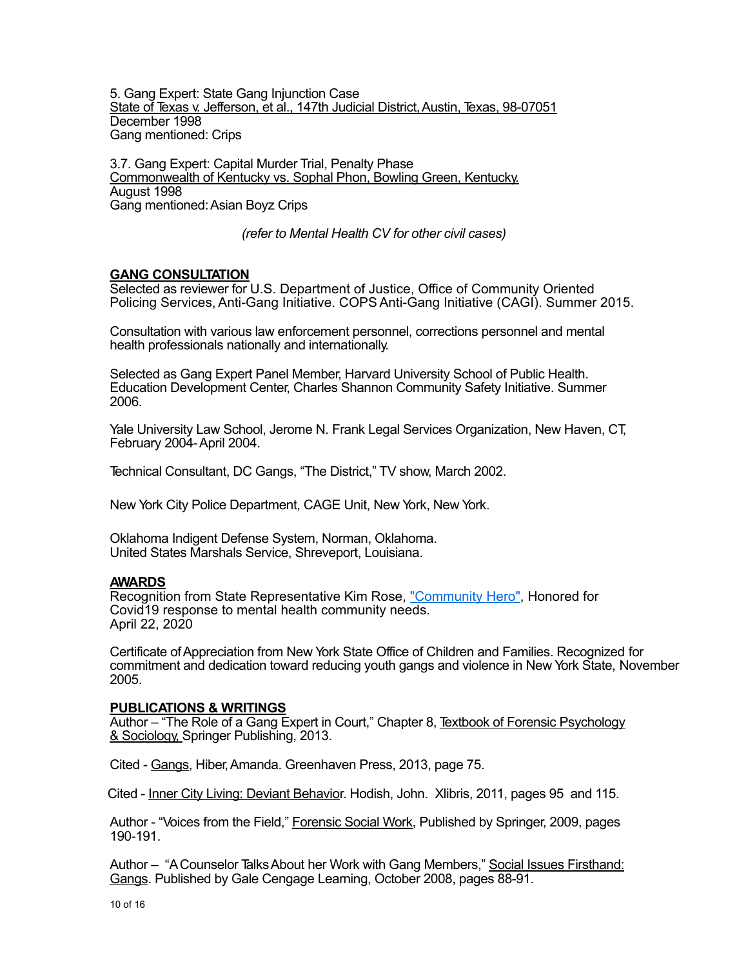5. Gang Expert: State Gang Injunction Case State of Texas v. Jefferson, et al., 147th Judicial District, Austin, Texas, 98-07051 December 1998 Gang mentioned: Crips

3.7. Gang Expert: Capital Murder Trial, Penalty Phase Commonwealth of Kentucky vs. Sophal Phon, Bowling Green, Kentucky. August 1998 Gang mentioned:Asian Boyz Crips

*(refer to Mental Health CV for other civil cases)*

### **GANG CONSULTATION**

Selected as reviewer for U.S. Department of Justice, Office of Community Oriented Policing Services, Anti-Gang Initiative. COPS Anti-Gang Initiative (CAGI). Summer 2015.

Consultation with various law enforcement personnel, corrections personnel and mental health professionals nationally and internationally.

Selected as Gang Expert Panel Member, Harvard University School of Public Health. Education Development Center, Charles Shannon Community Safety Initiative. Summer 2006.

Yale University Law School, Jerome N. Frank Legal Services Organization, New Haven, CT, February 2004-April 2004.

Technical Consultant, DC Gangs, "The District," TV show, March 2002.

New York City Police Department, CAGE Unit, New York, New York.

Oklahoma Indigent Defense System, Norman, Oklahoma. United States Marshals Service, Shreveport, Louisiana.

### **AWARDS**

Recognition from State Representative Kim Rose, ["Community Hero",](https://mailchi.mp/ff0b7889cfd9/lisa-taylor-austin-a-community-hero?fbclid=IwAR2G8ftCUcrfm0YugXsib6fFqyXKh4syQKvZW1yx1JRySnB-N848d0OZlcU) Honored for Covid19 response to mental health community needs. April 22, 2020

Certificate ofAppreciation from New York State Office of Children and Families. Recognized for commitment and dedication toward reducing youth gangs and violence in New York State, November 2005.

### **PUBLICATIONS & WRITINGS**

Author – "The Role of a Gang Expert in Court," Chapter 8, Textbook of Forensic Psychology & Sociology, Springer Publishing, 2013.

Cited - Gangs, Hiber,Amanda. Greenhaven Press, 2013, page 75.

Cited - Inner City Living: Deviant Behavior. Hodish, John. Xlibris, 2011, pages 95 and 115.

Author - "Voices from the Field," Forensic Social Work, Published by Springer, 2009, pages 190-191.

Author – "A Counselor Talks About her Work with Gang Members," Social Issues Firsthand: Gangs. Published by Gale Cengage Learning, October 2008, pages 88-91.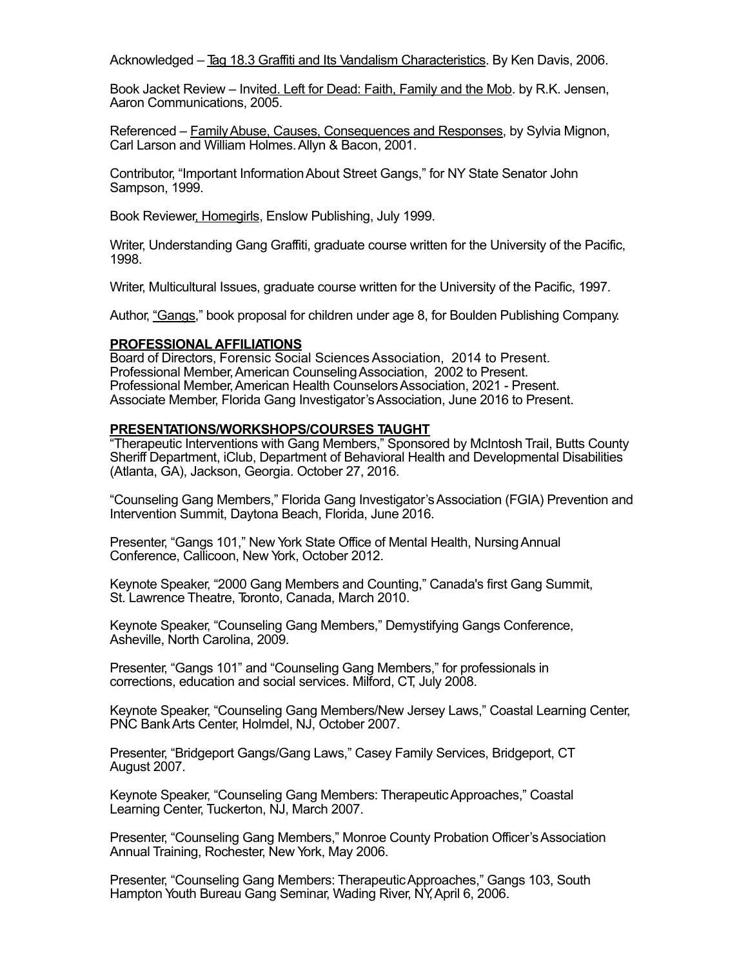Acknowledged – Tag 18.3 Graffiti and Its Vandalism Characteristics. By Ken Davis, 2006.

Book Jacket Review – Invited. Left for Dead: Faith, Family and the Mob. by R.K. Jensen, Aaron Communications, 2005.

Referenced – FamilyAbuse, Causes, Consequences and Responses, by Sylvia Mignon, Carl Larson and William Holmes.Allyn & Bacon, 2001.

Contributor, "Important InformationAbout Street Gangs," for NY State Senator John Sampson, 1999.

Book Reviewer, Homegirls, Enslow Publishing, July 1999.

Writer, Understanding Gang Graffiti, graduate course written for the University of the Pacific, 1998.

Writer, Multicultural Issues, graduate course written for the University of the Pacific, 1997.

Author, "Gangs," book proposal for children under age 8, for Boulden Publishing Company.

### **PROFESSIONAL AFFILIATIONS**

Board of Directors, Forensic Social Sciences Association, 2014 to Present. Professional Member, American Counseling Association, 2002 to Present. Professional Member,American Health CounselorsAssociation, 2021 - Present. Associate Member, Florida Gang Investigator'sAssociation, June 2016 to Present.

### **PRESENTATIONS/WORKSHOPS/COURSES TAUGHT**

"Therapeutic Interventions with Gang Members," Sponsored by McIntosh Trail, Butts County Sheriff Department, iClub, Department of Behavioral Health and Developmental Disabilities (Atlanta, GA), Jackson, Georgia. October 27, 2016.

"Counseling Gang Members," Florida Gang Investigator'sAssociation (FGIA) Prevention and Intervention Summit, Daytona Beach, Florida, June 2016.

Presenter, "Gangs 101," New York State Office of Mental Health, NursingAnnual Conference, Callicoon, New York, October 2012.

Keynote Speaker, "2000 Gang Members and Counting," Canada's first Gang Summit, St. Lawrence Theatre, Toronto, Canada, March 2010.

Keynote Speaker, "Counseling Gang Members," Demystifying Gangs Conference, Asheville, North Carolina, 2009.

Presenter, "Gangs 101" and "Counseling Gang Members," for professionals in corrections, education and social services. Milford, CT, July 2008.

Keynote Speaker, "Counseling Gang Members/New Jersey Laws," Coastal Learning Center, PNC BankArts Center, Holmdel, NJ, October 2007.

Presenter, "Bridgeport Gangs/Gang Laws," Casey Family Services, Bridgeport, CT August 2007.

Keynote Speaker, "Counseling Gang Members: TherapeuticApproaches," Coastal Learning Center, Tuckerton, NJ, March 2007.

Presenter, "Counseling Gang Members," Monroe County Probation Officer's Association Annual Training, Rochester, New York, May 2006.

Presenter, "Counseling Gang Members: TherapeuticApproaches," Gangs 103, South Hampton Youth Bureau Gang Seminar, Wading River, NY,April 6, 2006.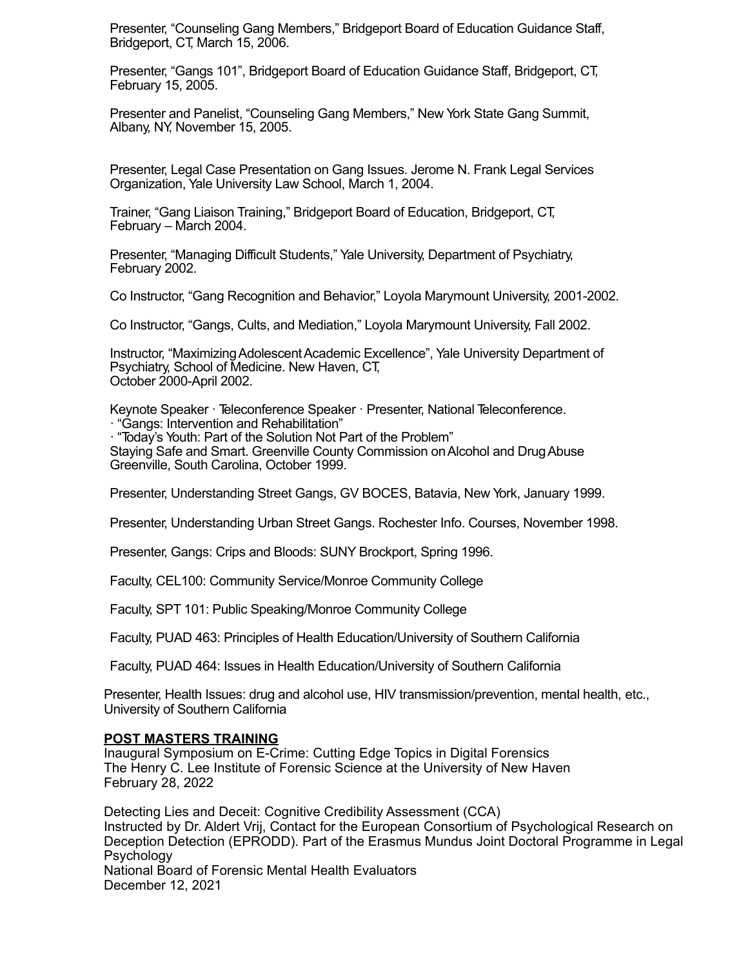Presenter, "Counseling Gang Members," Bridgeport Board of Education Guidance Staff, Bridgeport, CT, March 15, 2006.

Presenter, "Gangs 101", Bridgeport Board of Education Guidance Staff, Bridgeport, CT, February 15, 2005.

Presenter and Panelist, "Counseling Gang Members," New York State Gang Summit, Albany, NY, November 15, 2005.

Presenter, Legal Case Presentation on Gang Issues. Jerome N. Frank Legal Services Organization, Yale University Law School, March 1, 2004.

Trainer, "Gang Liaison Training," Bridgeport Board of Education, Bridgeport, CT, February – March 2004.

Presenter, "Managing Difficult Students," Yale University, Department of Psychiatry, February 2002.

Co Instructor, "Gang Recognition and Behavior," Loyola Marymount University, 2001-2002.

Co Instructor, "Gangs, Cults, and Mediation," Loyola Marymount University, Fall 2002.

Instructor, "Maximizing Adolescent Academic Excellence", Yale University Department of Psychiatry, School of Medicine. New Haven, CT, October 2000-April 2002.

Keynote Speaker · Teleconference Speaker · Presenter, National Teleconference. · "Gangs: Intervention and Rehabilitation"

· "Today's Youth: Part of the Solution Not Part of the Problem"

Staying Safe and Smart. Greenville County Commission onAlcohol and DrugAbuse Greenville, South Carolina, October 1999.

Presenter, Understanding Street Gangs, GV BOCES, Batavia, New York, January 1999.

Presenter, Understanding Urban Street Gangs. Rochester Info. Courses, November 1998.

Presenter, Gangs: Crips and Bloods: SUNY Brockport, Spring 1996.

Faculty, CEL100: Community Service/Monroe Community College

Faculty, SPT 101: Public Speaking/Monroe Community College

Faculty, PUAD 463: Principles of Health Education/University of Southern California

Faculty, PUAD 464: Issues in Health Education/University of Southern California

Presenter, Health Issues: drug and alcohol use, HIV transmission/prevention, mental health, etc., University of Southern California

### **POST MASTERS TRAINING**

Inaugural Symposium on E-Crime: Cutting Edge Topics in Digital Forensics The Henry C. Lee Institute of Forensic Science at the University of New Haven February 28, 2022

Detecting Lies and Deceit: Cognitive Credibility Assessment (CCA) Instructed by Dr. Aldert Vrij, Contact for the European Consortium of Psychological Research on Deception Detection (EPRODD). Part of the Erasmus Mundus Joint Doctoral Programme in Legal **Psychology** National Board of Forensic Mental Health Evaluators December 12, 2021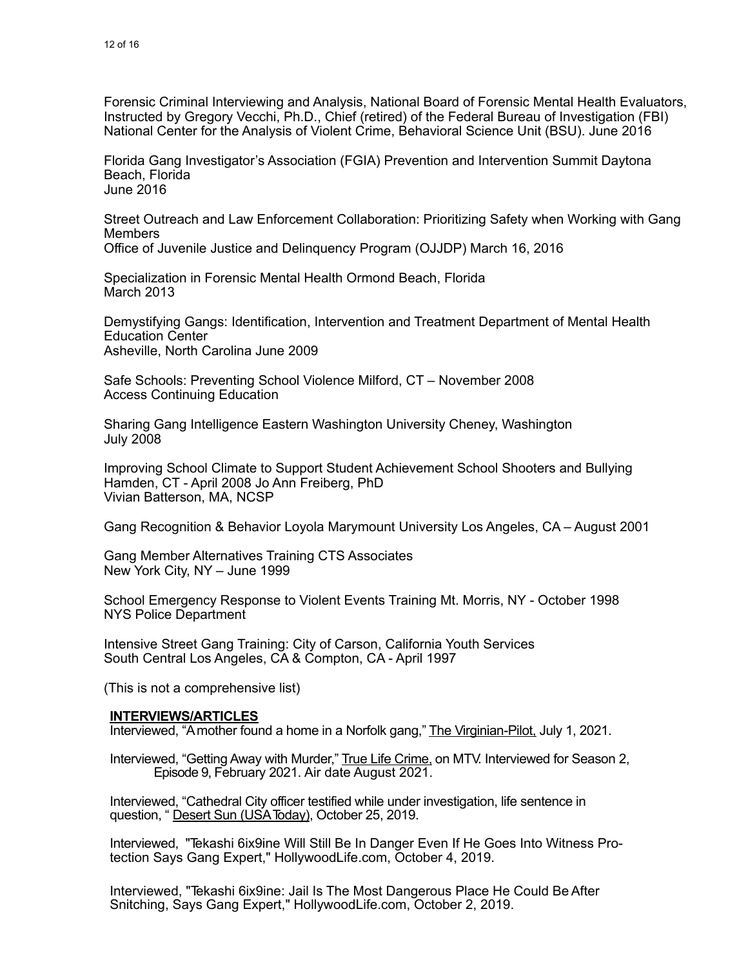Forensic Criminal Interviewing and Analysis, National Board of Forensic Mental Health Evaluators, Instructed by Gregory Vecchi, Ph.D., Chief (retired) of the Federal Bureau of Investigation (FBI) National Center for the Analysis of Violent Crime, Behavioral Science Unit (BSU). June 2016

Florida Gang Investigator's Association (FGIA) Prevention and Intervention Summit Daytona Beach, Florida June 2016

Street Outreach and Law Enforcement Collaboration: Prioritizing Safety when Working with Gang **Members** 

Office of Juvenile Justice and Delinquency Program (OJJDP) March 16, 2016

Specialization in Forensic Mental Health Ormond Beach, Florida March 2013

Demystifying Gangs: Identification, Intervention and Treatment Department of Mental Health Education Center Asheville, North Carolina June 2009

Safe Schools: Preventing School Violence Milford, CT – November 2008 Access Continuing Education

Sharing Gang Intelligence Eastern Washington University Cheney, Washington July 2008

Improving School Climate to Support Student Achievement School Shooters and Bullying Hamden, CT - April 2008 Jo Ann Freiberg, PhD Vivian Batterson, MA, NCSP

Gang Recognition & Behavior Loyola Marymount University Los Angeles, CA – August 2001

Gang Member Alternatives Training CTS Associates New York City, NY – June 1999

School Emergency Response to Violent Events Training Mt. Morris, NY - October 1998 NYS Police Department

Intensive Street Gang Training: City of Carson, California Youth Services South Central Los Angeles, CA & Compton, CA - April 1997

(This is not a comprehensive list)

### **INTERVIEWS/ARTICLES**

Interviewed, "Amother found a home in a Norfolk gang," The Virginian-Pilot, July 1, 2021.

Interviewed, "Getting Away with Murder," True Life Crime, on MTV. Interviewed for Season 2, Episode 9, February 2021. Air date August 2021.

Interviewed, "Cathedral City officer testified while under investigation, life sentence in question, " Desert Sun (USAToday), October 25, 2019.

Interviewed, ["Tekashi 6ix9ine Will Still Be In Danger Even If He Goes Into Witness Pro](https://thetayloraustingroup.com/wp-content/uploads/2019/10/hollywoodlife.com-Tekashi-6ix9ine-Will-Still-Be-In-DangerEven-If-He-Goes-Into-Witness-ProtectionSays-GangnbspExpert.pdf)[tection Says Gang Expert,](https://thetayloraustingroup.com/wp-content/uploads/2019/10/hollywoodlife.com-Tekashi-6ix9ine-Will-Still-Be-In-DangerEven-If-He-Goes-Into-Witness-ProtectionSays-GangnbspExpert.pdf)" HollywoodLife.com, October 4, 2019.

Interviewed, "Tekashi 6ix9ine: Jail Is [The Most Dangerous Place He Could Be](https://thetayloraustingroup.com/wp-content/uploads/2019/10/hollywoodlife.com-Tekashi-6ix9ine-Jail-Is-The-Most-DangerousPlace-He-Could-Be-After-Snitching-SaysGangnbspExpert.pdf) After [Snitching, Says Gang Expert,](https://thetayloraustingroup.com/wp-content/uploads/2019/10/hollywoodlife.com-Tekashi-6ix9ine-Jail-Is-The-Most-DangerousPlace-He-Could-Be-After-Snitching-SaysGangnbspExpert.pdf)" HollywoodLife.com, October 2, 2019.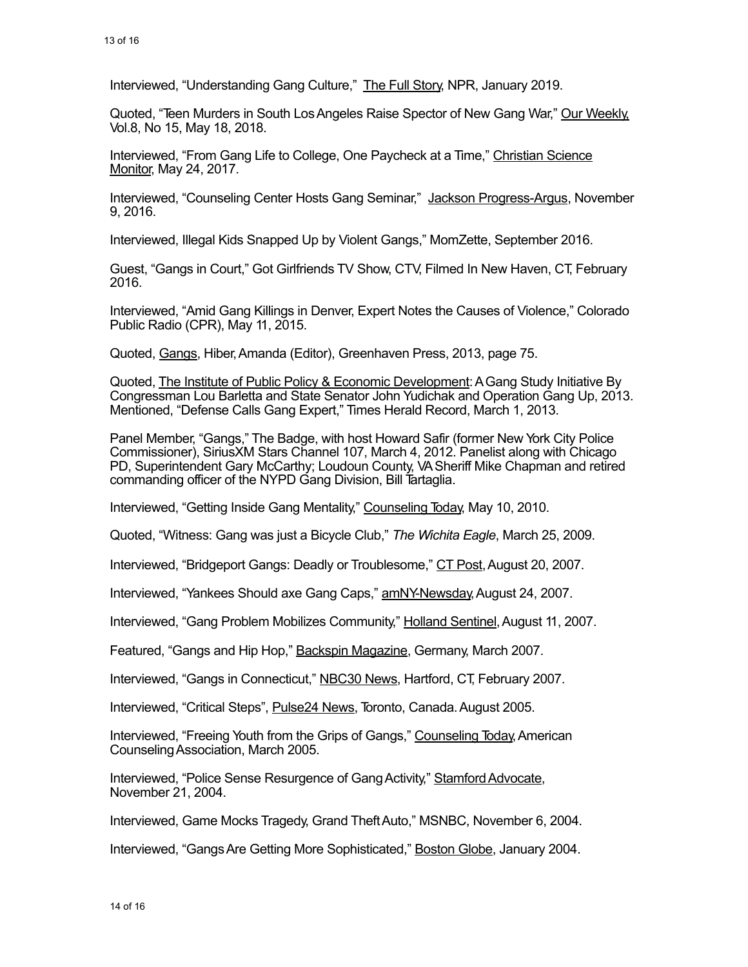Interviewed, "Understanding Gang Culture," The Full Story, NPR, January 2019.

Quoted, "Teen Murders in South LosAngeles Raise Spector of New Gang War," Our Weekly, Vol.8, No 15, May 18, 2018.

Interviewed, "From Gang Life to College, One Paycheck at a Time," Christian Science Monitor, May 24, 2017.

Interviewed, "Counseling Center Hosts Gang Seminar," Jackson Progress-Argus, November 9, 2016.

Interviewed, Illegal Kids Snapped Up by Violent Gangs," MomZette, September 2016.

Guest, "Gangs in Court," Got Girlfriends TV Show, CTV, Filmed In New Haven, CT, February 2016.

Interviewed, "Amid Gang Killings in Denver, Expert Notes the Causes of Violence," Colorado Public Radio (CPR), May 11, 2015.

Quoted, Gangs, Hiber,Amanda (Editor), Greenhaven Press, 2013, page 75.

Quoted, The Institute of Public Policy & Economic Development: A Gang Study Initiative By Congressman Lou Barletta and State Senator John Yudichak and Operation Gang Up, 2013. Mentioned, "Defense Calls Gang Expert," Times Herald Record, March 1, 2013.

Panel Member, "Gangs," The Badge, with host Howard Safir (former New York City Police Commissioner), SiriusXM Stars Channel 107, March 4, 2012. Panelist along with Chicago PD, Superintendent Gary McCarthy; Loudoun County, VASheriff Mike Chapman and retired commanding officer of the NYPD Gang Division, Bill Tartaglia.

Interviewed, "Getting Inside Gang Mentality," Counseling Today, May 10, 2010.

Quoted, "Witness: Gang was just a Bicycle Club," *The Wichita Eagle*, March 25, 2009.

Interviewed, "Bridgeport Gangs: Deadly or Troublesome," CT Post,August 20, 2007.

Interviewed, "Yankees Should axe Gang Caps," amNY-Newsday,August 24, 2007.

Interviewed, "Gang Problem Mobilizes Community," Holland Sentinel,August 11, 2007.

Featured, "Gangs and Hip Hop," Backspin Magazine, Germany, March 2007.

Interviewed, "Gangs in Connecticut," NBC30 News, Hartford, CT, February 2007.

Interviewed, "Critical Steps", Pulse24 News, Toronto, Canada. August 2005.

Interviewed, "Freeing Youth from the Grips of Gangs," Counseling Today, American CounselingAssociation, March 2005.

Interviewed, "Police Sense Resurgence of Gang Activity," Stamford Advocate, November 21, 2004.

Interviewed, Game Mocks Tragedy, Grand TheftAuto," MSNBC, November 6, 2004.

Interviewed, "GangsAre Getting More Sophisticated," Boston Globe, January 2004.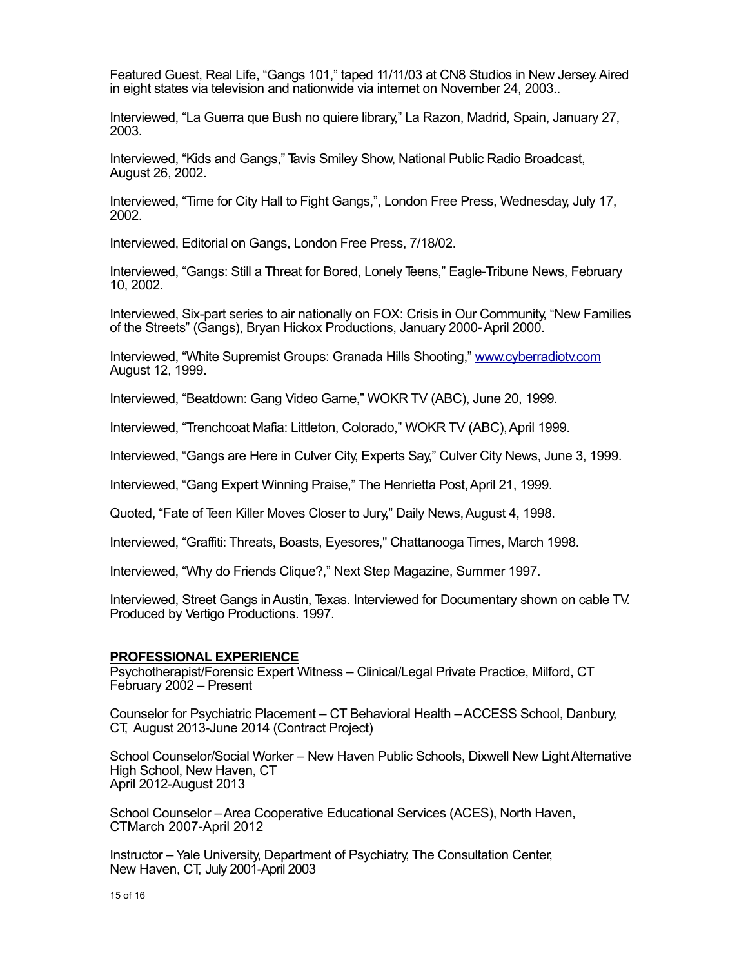Featured Guest, Real Life, "Gangs 101," taped 11/11/03 at CN8 Studios in New Jersey.Aired in eight states via television and nationwide via internet on November 24, 2003..

Interviewed, "La Guerra que Bush no quiere library," La Razon, Madrid, Spain, January 27, 2003.

Interviewed, "Kids and Gangs," Tavis Smiley Show, National Public Radio Broadcast, August 26, 2002.

Interviewed, "Time for City Hall to Fight Gangs,", London Free Press, Wednesday, July 17, 2002.

Interviewed, Editorial on Gangs, London Free Press, 7/18/02.

Interviewed, "Gangs: Still a Threat for Bored, Lonely Teens," Eagle-Tribune News, February 10, 2002.

Interviewed, Six-part series to air nationally on FOX: Crisis in Our Community, "New Families of the Streets" (Gangs), Bryan Hickox Productions, January 2000-April 2000.

Interviewed, "White Supremist Groups: Granada Hills Shooting," www.cyberradioty.com August 12, 1999.

Interviewed, "Beatdown: Gang Video Game," WOKR TV (ABC), June 20, 1999.

Interviewed, "Trenchcoat Mafia: Littleton, Colorado," WOKR TV (ABC), April 1999.

Interviewed, "Gangs are Here in Culver City, Experts Say," Culver City News, June 3, 1999.

Interviewed, "Gang Expert Winning Praise," The Henrietta Post, April 21, 1999.

Quoted, "Fate of Teen Killer Moves Closer to Jury," Daily News,August 4, 1998.

Interviewed, "Graffiti: Threats, Boasts, Eyesores," Chattanooga Times, March 1998.

Interviewed, "Why do Friends Clique?," Next Step Magazine, Summer 1997.

Interviewed, Street Gangs inAustin, Texas. Interviewed for Documentary shown on cable TV. Produced by Vertigo Productions. 1997.

#### **PROFESSIONAL EXPERIENCE**

Psychotherapist/Forensic Expert Witness – Clinical/Legal Private Practice, Milford, CT February 2002 – Present

Counselor for Psychiatric Placement – CT Behavioral Health –ACCESS School, Danbury, CT, August 2013-June 2014 (Contract Project)

School Counselor/Social Worker – New Haven Public Schools, Dixwell New Light Alternative High School, New Haven, CT April 2012-August 2013

School Counselor –Area Cooperative Educational Services (ACES), North Haven, CTMarch 2007-April 2012

Instructor – Yale University, Department of Psychiatry, The Consultation Center, New Haven, CT, July 2001-April 2003